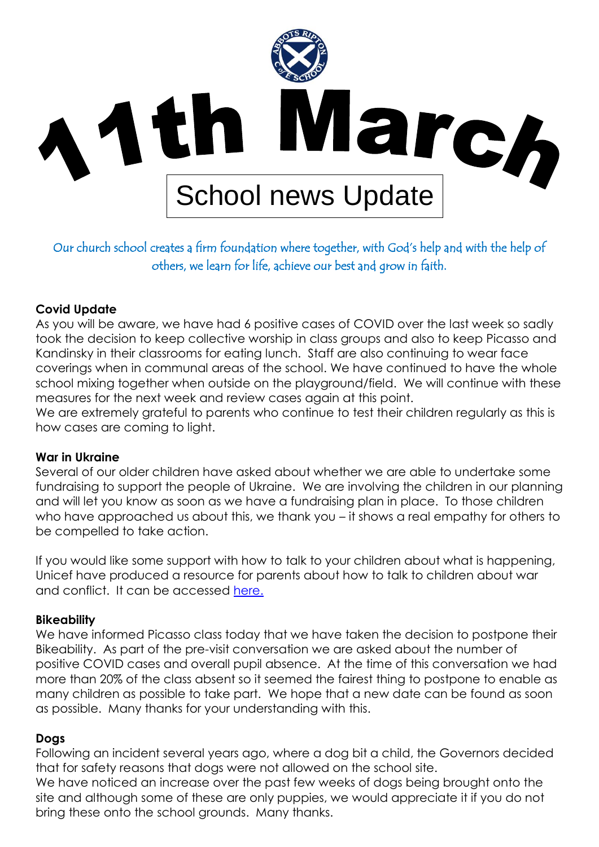

# Our church school creates a firm foundation where together, with God's help and with the help of others, we learn for life, achieve our best and grow in faith.

### **Covid Update**

As you will be aware, we have had 6 positive cases of COVID over the last week so sadly took the decision to keep collective worship in class groups and also to keep Picasso and Kandinsky in their classrooms for eating lunch. Staff are also continuing to wear face coverings when in communal areas of the school. We have continued to have the whole school mixing together when outside on the playground/field. We will continue with these measures for the next week and review cases again at this point.

We are extremely grateful to parents who continue to test their children regularly as this is how cases are coming to light.

#### **War in Ukraine**

Several of our older children have asked about whether we are able to undertake some fundraising to support the people of Ukraine. We are involving the children in our planning and will let you know as soon as we have a fundraising plan in place. To those children who have approached us about this, we thank you – it shows a real empathy for others to be compelled to take action.

If you would like some support with how to talk to your children about what is happening, Unicef have produced a resource for parents about how to talk to children about war and conflict. It can be accessed [here.](https://www.unicef.org/parenting/how-talk-your-children-about-conflict-and-war)

### **Bikeability**

We have informed Picasso class today that we have taken the decision to postpone their Bikeability. As part of the pre-visit conversation we are asked about the number of positive COVID cases and overall pupil absence. At the time of this conversation we had more than 20% of the class absent so it seemed the fairest thing to postpone to enable as many children as possible to take part. We hope that a new date can be found as soon as possible. Many thanks for your understanding with this.

### **Dogs**

Following an incident several years ago, where a dog bit a child, the Governors decided that for safety reasons that dogs were not allowed on the school site.

We have noticed an increase over the past few weeks of dogs being brought onto the site and although some of these are only puppies, we would appreciate it if you do not bring these onto the school grounds. Many thanks.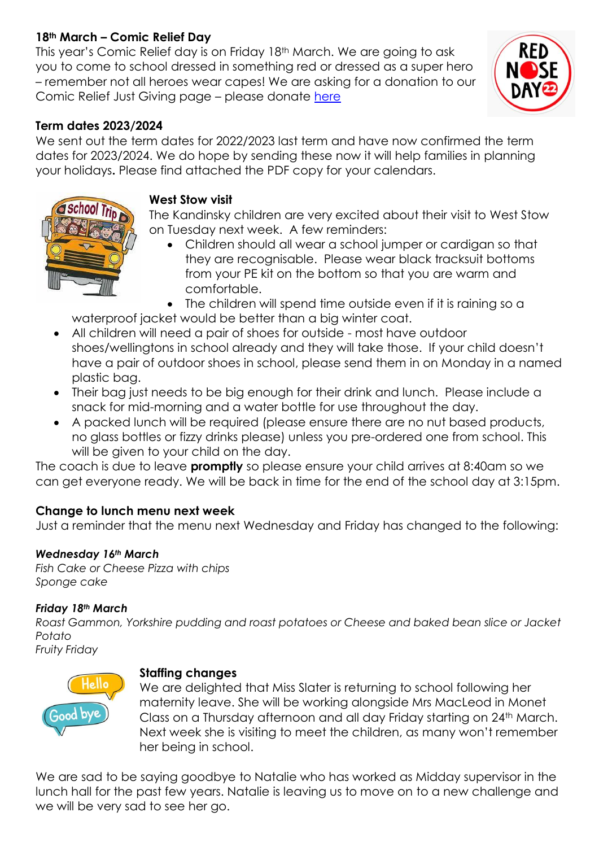## **18th March – Comic Relief Day**

This year's Comic Relief day is on Friday 18th March. We are going to ask you to come to school dressed in something red or dressed as a super hero – remember not all heroes wear capes! We are asking for a donation to our Comic Relief Just Giving page – please donate [here](https://www.justgiving.com/fundraising/claire-matthews29)



## **Term dates 2023/2024**

We sent out the term dates for 2022/2023 last term and have now confirmed the term dates for 2023/2024. We do hope by sending these now it will help families in planning your holidays**.** Please find attached the PDF copy for your calendars.



#### **West Stow visit**

The Kandinsky children are very excited about their visit to West Stow on Tuesday next week. A few reminders:

- Children should all wear a school jumper or cardigan so that they are recognisable. Please wear black tracksuit bottoms from your PE kit on the bottom so that you are warm and comfortable.
- The children will spend time outside even if it is raining so a

waterproof jacket would be better than a big winter coat.

- All children will need a pair of shoes for outside most have outdoor shoes/wellingtons in school already and they will take those. If your child doesn't have a pair of outdoor shoes in school, please send them in on Monday in a named plastic bag.
- Their bag just needs to be big enough for their drink and lunch. Please include a snack for mid-morning and a water bottle for use throughout the day.
- A packed lunch will be required (please ensure there are no nut based products, no glass bottles or fizzy drinks please) unless you pre-ordered one from school. This will be given to your child on the day.

The coach is due to leave **promptly** so please ensure your child arrives at 8:40am so we can get everyone ready. We will be back in time for the end of the school day at 3:15pm.

## **Change to lunch menu next week**

Just a reminder that the menu next Wednesday and Friday has changed to the following:

### *Wednesday 16th March*

*Fish Cake or Cheese Pizza with chips Sponge cake*

### *Friday 18th March*

*Roast Gammon, Yorkshire pudding and roast potatoes or Cheese and baked bean slice or Jacket Potato*

*Fruity Friday* 



### **Staffing changes**

We are delighted that Miss Slater is returning to school following her maternity leave. She will be working alongside Mrs MacLeod in Monet Class on a Thursday afternoon and all day Friday starting on 24<sup>th</sup> March. Next week she is visiting to meet the children, as many won't remember her being in school.

We are sad to be saying goodbye to Natalie who has worked as Midday supervisor in the lunch hall for the past few years. Natalie is leaving us to move on to a new challenge and we will be very sad to see her go.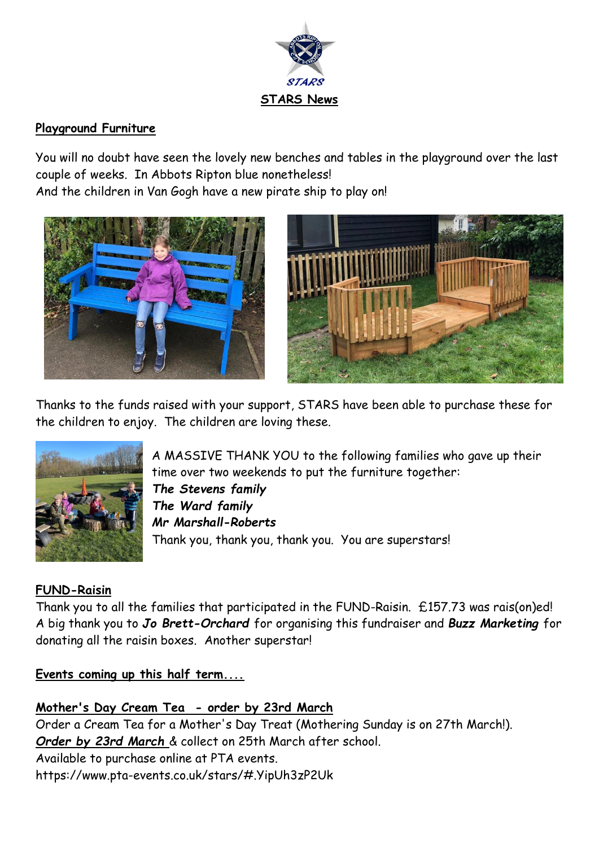

## **Playground Furniture**

You will no doubt have seen the lovely new benches and tables in the playground over the last couple of weeks. In Abbots Ripton blue nonetheless!

And the children in Van Gogh have a new pirate ship to play on!





Thanks to the funds raised with your support, STARS have been able to purchase these for the children to enjoy. The children are loving these.



A MASSIVE THANK YOU to the following families who gave up their time over two weekends to put the furniture together: *The Stevens family The Ward family Mr Marshall-Roberts* Thank you, thank you, thank you. You are superstars!

## **FUND-Raisin**

Thank you to all the families that participated in the FUND-Raisin. £157.73 was rais(on)ed! A big thank you to *Jo Brett-Orchard* for organising this fundraiser and *Buzz Marketing* for donating all the raisin boxes. Another superstar!

**Events coming up this half term....**

## **Mother's Day Cream Tea - order by 23rd March**

Order a Cream Tea for a Mother's Day Treat (Mothering Sunday is on 27th March!). *Order by 23rd March* & collect on 25th March after school. Available to purchase online at PTA events. <https://www.pta-events.co.uk/stars/#.YipUh3zP2Uk>